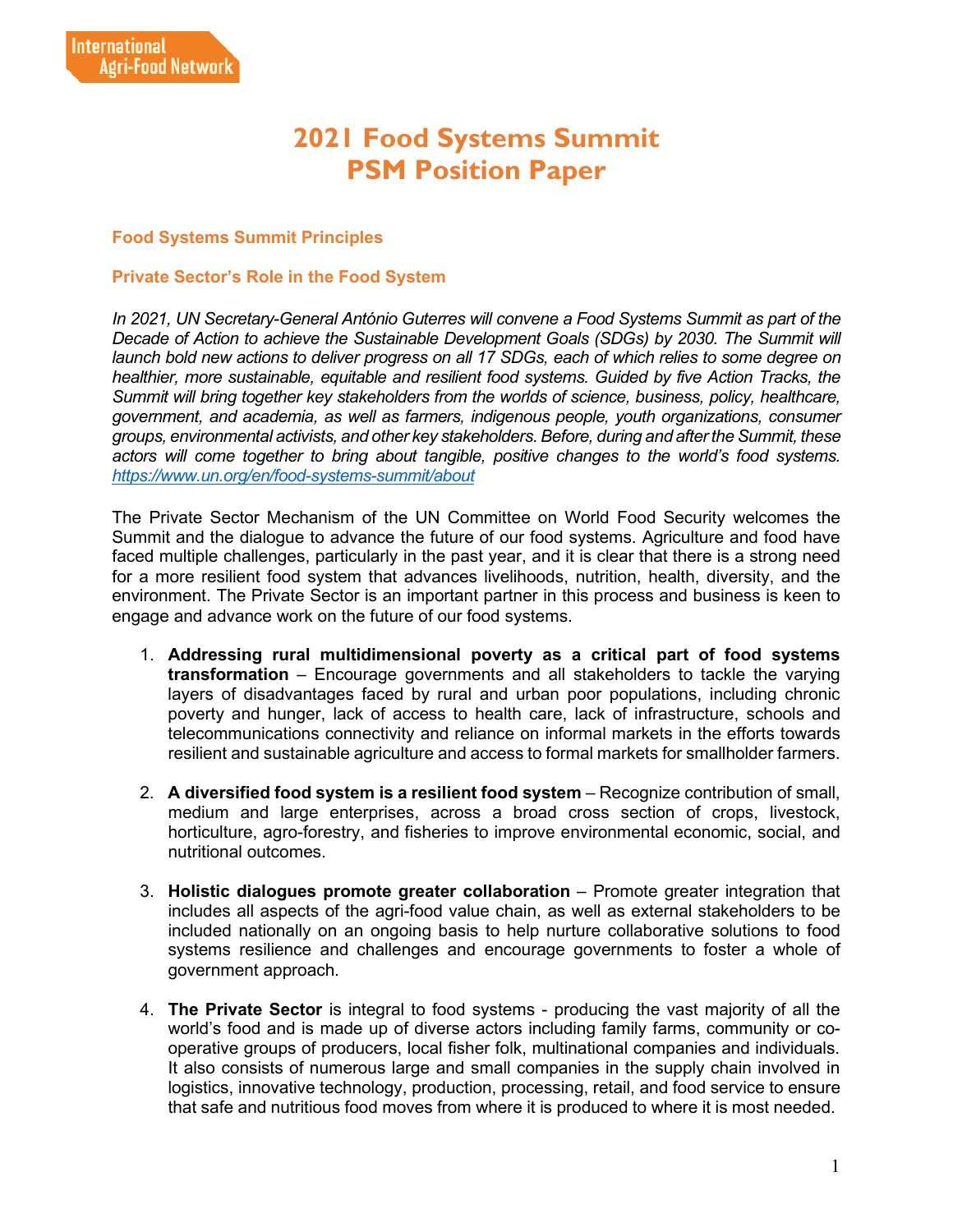# **2021 Food Systems Summit PSM Position Paper**

#### **Food Systems Summit Principles**

#### **Private Sector's Role in the Food System**

*In 2021, UN Secretary-General António Guterres will convene a Food Systems Summit as part of the Decade of Action to achieve the Sustainable Development Goals (SDGs) by 2030. The Summit will launch bold new actions to deliver progress on all 17 SDGs, each of which relies to some degree on healthier, more sustainable, equitable and resilient food systems. Guided by five Action Tracks, the Summit will bring together key stakeholders from the worlds of science, business, policy, healthcare, government, and academia, as well as farmers, indigenous people, youth organizations, consumer groups, environmental activists, and other key stakeholders. Before, during and after the Summit, these actors will come together to bring about tangible, positive changes to the world's food systems. <https://www.un.org/en/food-systems-summit/about>*

The Private Sector Mechanism of the UN Committee on World Food Security welcomes the Summit and the dialogue to advance the future of our food systems. Agriculture and food have faced multiple challenges, particularly in the past year, and it is clear that there is a strong need for a more resilient food system that advances livelihoods, nutrition, health, diversity, and the environment. The Private Sector is an important partner in this process and business is keen to engage and advance work on the future of our food systems.

- 1. **Addressing rural multidimensional poverty as a critical part of food systems transformation** – Encourage governments and all stakeholders to tackle the varying layers of disadvantages faced by rural and urban poor populations, including chronic poverty and hunger, lack of access to health care, lack of infrastructure, schools and telecommunications connectivity and reliance on informal markets in the efforts towards resilient and sustainable agriculture and access to formal markets for smallholder farmers.
- 2. **A diversified food system is a resilient food system** Recognize contribution of small, medium and large enterprises, across a broad cross section of crops, livestock, horticulture, agro-forestry, and fisheries to improve environmental economic, social, and nutritional outcomes.
- 3. **Holistic dialogues promote greater collaboration** Promote greater integration that includes all aspects of the agri-food value chain, as well as external stakeholders to be included nationally on an ongoing basis to help nurture collaborative solutions to food systems resilience and challenges and encourage governments to foster a whole of government approach.
- 4. **The Private Sector** is integral to food systems producing the vast majority of all the world's food and is made up of diverse actors including family farms, community or cooperative groups of producers, local fisher folk, multinational companies and individuals. It also consists of numerous large and small companies in the supply chain involved in logistics, innovative technology, production, processing, retail, and food service to ensure that safe and nutritious food moves from where it is produced to where it is most needed.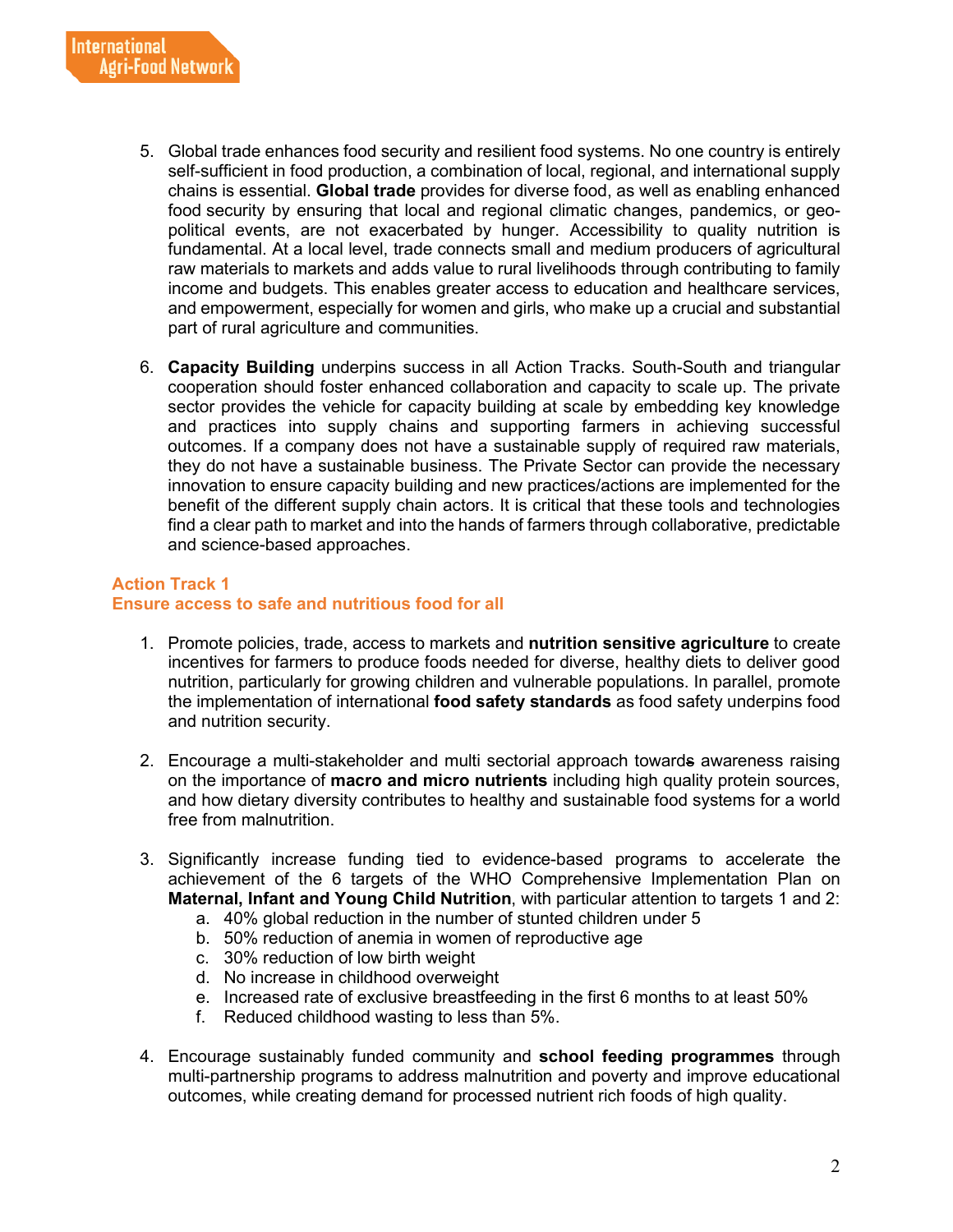- 5. Global trade enhances food security and resilient food systems. No one country is entirely self-sufficient in food production, a combination of local, regional, and international supply chains is essential. **Global trade** provides for diverse food, as well as enabling enhanced food security by ensuring that local and regional climatic changes, pandemics, or geopolitical events, are not exacerbated by hunger. Accessibility to quality nutrition is fundamental. At a local level, trade connects small and medium producers of agricultural raw materials to markets and adds value to rural livelihoods through contributing to family income and budgets. This enables greater access to education and healthcare services, and empowerment, especially for women and girls, who make up a crucial and substantial part of rural agriculture and communities.
- 6. **Capacity Building** underpins success in all Action Tracks. South-South and triangular cooperation should foster enhanced collaboration and capacity to scale up. The private sector provides the vehicle for capacity building at scale by embedding key knowledge and practices into supply chains and supporting farmers in achieving successful outcomes. If a company does not have a sustainable supply of required raw materials, they do not have a sustainable business. The Private Sector can provide the necessary innovation to ensure capacity building and new practices/actions are implemented for the benefit of the different supply chain actors. It is critical that these tools and technologies find a clear path to market and into the hands of farmers through collaborative, predictable and science-based approaches.

#### **Action Track 1 Ensure access to safe and nutritious food for all**

- 1. Promote policies, trade, access to markets and **nutrition sensitive agriculture** to create incentives for farmers to produce foods needed for diverse, healthy diets to deliver good nutrition, particularly for growing children and vulnerable populations. In parallel, promote the implementation of international **food safety standards** as food safety underpins food and nutrition security.
- 2. Encourage a multi-stakeholder and multi sectorial approach towards awareness raising on the importance of **macro and micro nutrients** including high quality protein sources, and how dietary diversity contributes to healthy and sustainable food systems for a world free from malnutrition.
- 3. Significantly increase funding tied to evidence-based programs to accelerate the achievement of the 6 targets of the WHO Comprehensive Implementation Plan on **Maternal, Infant and Young Child Nutrition**, with particular attention to targets 1 and 2:
	- a. 40% global reduction in the number of stunted children under 5
	- b. 50% reduction of anemia in women of reproductive age
	- c. 30% reduction of low birth weight
	- d. No increase in childhood overweight
	- e. Increased rate of exclusive breastfeeding in the first 6 months to at least 50%
	- f. Reduced childhood wasting to less than 5%.
- 4. Encourage sustainably funded community and **school feeding programmes** through multi-partnership programs to address malnutrition and poverty and improve educational outcomes, while creating demand for processed nutrient rich foods of high quality.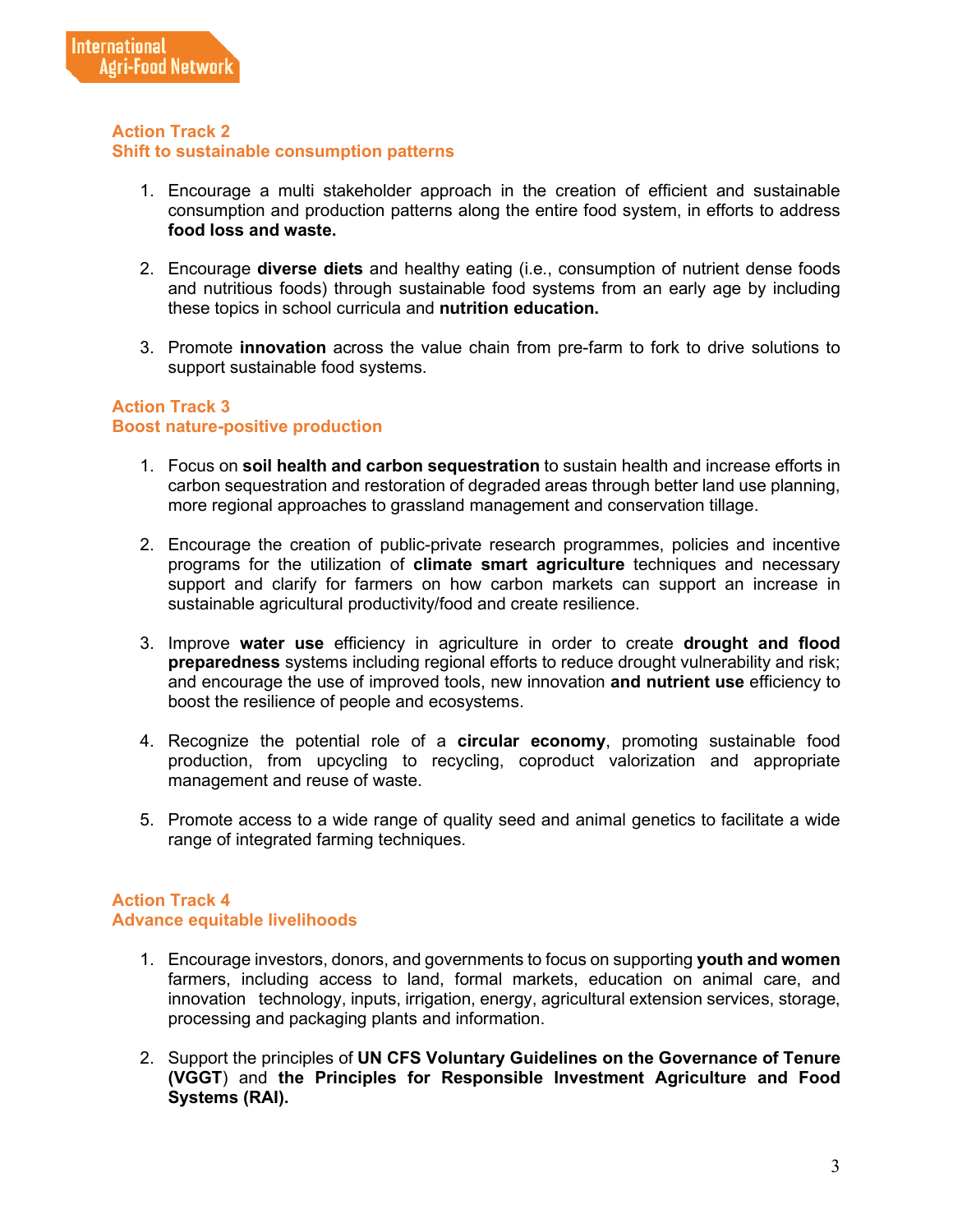

#### **Action Track 2 Shift to sustainable consumption patterns**

- 1. Encourage a multi stakeholder approach in the creation of efficient and sustainable consumption and production patterns along the entire food system, in efforts to address **food loss and waste.**
- 2. Encourage **diverse diets** and healthy eating (i.e., consumption of nutrient dense foods and nutritious foods) through sustainable food systems from an early age by including these topics in school curricula and **nutrition education.**
- 3. Promote **innovation** across the value chain from pre-farm to fork to drive solutions to support sustainable food systems.

### **Action Track 3 Boost nature-positive production**

- 1. Focus on **soil health and carbon sequestration** to sustain health and increase efforts in carbon sequestration and restoration of degraded areas through better land use planning, more regional approaches to grassland management and conservation tillage.
- 2. Encourage the creation of public-private research programmes, policies and incentive programs for the utilization of **climate smart agriculture** techniques and necessary support and clarify for farmers on how carbon markets can support an increase in sustainable agricultural productivity/food and create resilience.
- 3. Improve **water use** efficiency in agriculture in order to create **drought and flood preparedness** systems including regional efforts to reduce drought vulnerability and risk; and encourage the use of improved tools, new innovation **and nutrient use** efficiency to boost the resilience of people and ecosystems.
- 4. Recognize the potential role of a **circular economy**, promoting sustainable food production, from upcycling to recycling, coproduct valorization and appropriate management and reuse of waste.
- 5. Promote access to a wide range of quality seed and animal genetics to facilitate a wide range of integrated farming techniques.

# **Action Track 4**

#### **Advance equitable livelihoods**

- 1. Encourage investors, donors, and governments to focus on supporting **youth and women** farmers, including access to land, formal markets, education on animal care, and innovation technology, inputs, irrigation, energy, agricultural extension services, storage, processing and packaging plants and information.
- 2. Support the principles of **UN CFS Voluntary Guidelines on the Governance of Tenure (VGGT**) and **the Principles for Responsible Investment Agriculture and Food Systems (RAI).**